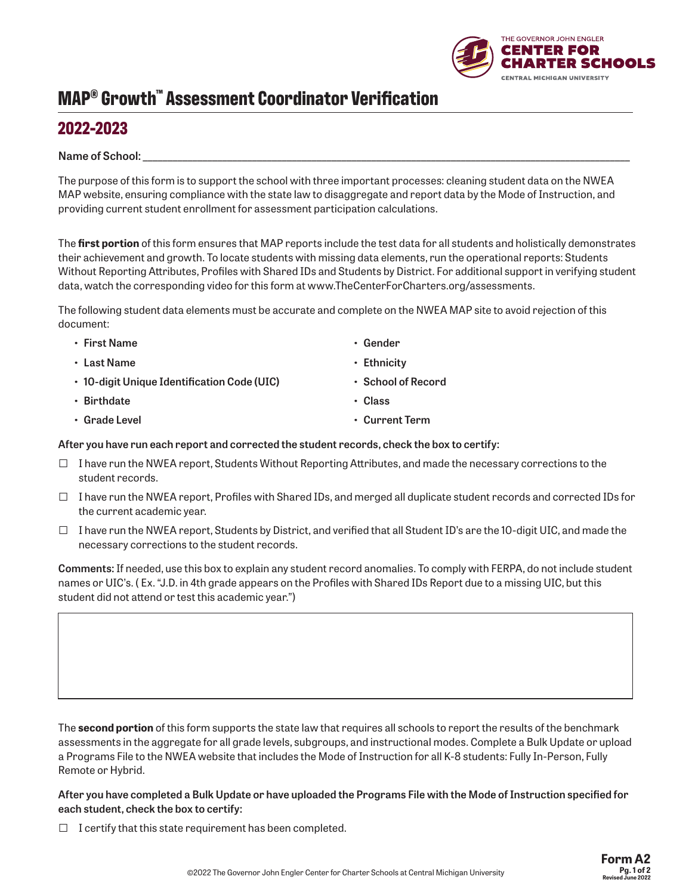# **MAP® Growth™ Assessment Coordinator Verification**

### **2022-2023**

#### Name of School:

The purpose of this form is to support the school with three important processes: cleaning student data on the NWEA MAP website, ensuring compliance with the state law to disaggregate and report data by the Mode of Instruction, and providing current student enrollment for assessment participation calculations.

The **first portion** of this form ensures that MAP reports include the test data for all students and holistically demonstrates their achievement and growth. To locate students with missing data elements, run the operational reports: Students Without Reporting Attributes, Profiles with Shared IDs and Students by District. For additional support in verifying student data, watch the corresponding video for this form at www.TheCenterForCharters.org/assessments.

> **• Gender • Ethnicity**

**• Class**

**• School of Record**

**• Current Term**

The following student data elements must be accurate and complete on the NWEA MAP site to avoid rejection of this document:

- **• First Name**
- **• Last Name**
- **• 10-digit Unique Identification Code (UIC)**
- **• Birthdate**
- **• Grade Level**

**After you have run each report and corrected the student records, check the box to certify:**

- $\square$  I have run the NWEA report, Students Without Reporting Attributes, and made the necessary corrections to the student records.
- $\Box$  I have run the NWEA report, Profiles with Shared IDs, and merged all duplicate student records and corrected IDs for the current academic year.
- $\Box$  I have run the NWEA report, Students by District, and verified that all Student ID's are the 10-digit UIC, and made the necessary corrections to the student records.

**Comments:** If needed, use this box to explain any student record anomalies. To comply with FERPA, do not include student names or UIC's. ( Ex. "J.D. in 4th grade appears on the Profiles with Shared IDs Report due to a missing UIC, but this student did not attend or test this academic year.")

The **second portion** of this form supports the state law that requires all schools to report the results of the benchmark assessments in the aggregate for all grade levels, subgroups, and instructional modes. Complete a Bulk Update or upload a Programs File to the NWEA website that includes the Mode of Instruction for all K-8 students: Fully In-Person, Fully Remote or Hybrid.

**After you have completed a Bulk Update or have uploaded the Programs File with the Mode of Instruction specified for each student, check the box to certify:** 

 $\Box$  I certify that this state requirement has been completed.